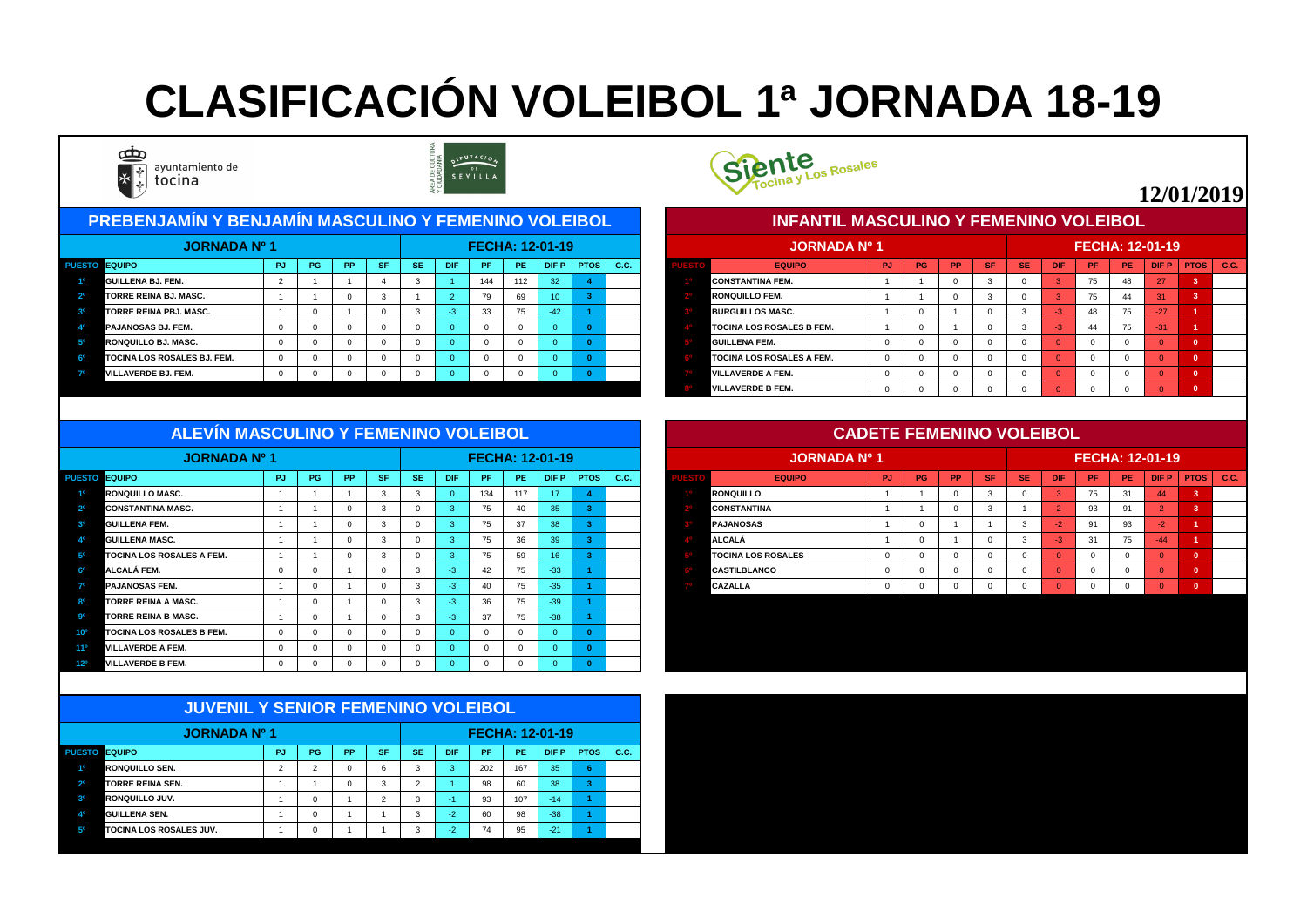#### PUESTO EQUIPO CONTRA PIPUITOS | PO | PPIISFINSE | DIFIPIPE | PEIIDIFPIPTOS | C.C. | CONTROL CONTROL EQUIPO CONTROL PUITOS | PUISTO EQUIPO CONTROL PRINSE | DIFIPIPE | DIFPIPTOS | C.C. **1º GUILLENA BJ. FEM.** 2 1 1 4 3 1 144 112 32 **4 1º CONSTANTINA FEM.** 1 1 0 3 0 3 75 48 27 **3 2º TORRE REINA BJ. MASC.** 1 1 0 3 1 2 79 69 10 **3 2º RONQUILLO FEM.** 1 1 0 3 0 3 75 44 31 **3 3º TORRE REINA PBJ. MASC.** 1 0 1 0 3 -3 33 75 -42 **1 3º BURGUILLOS MASC.** 1 0 1 0 3 -3 48 75 -27 **1 4º PAJANOSAS BJ. FEM.** 0 0 0 0 0 0 0 0 0 **0 4º TOCINA LOS ROSALES B FEM.** 1 0 1 0 3 -3 44 75 -31 **1 5º RONQUILLO BJ. MASC.** 0 0 0 0 0 0 0 0 0 **0 5º GUILLENA FEM.** 0 0 0 0 0 0 0 0 0 **0 6º TOCINA LOS ROSALES BJ. FEM.** 0 0 0 0 0 0 0 0 0 **0 6º TOCINA LOS ROSALES A FEM.** 0 0 0 0 0 0 0 0 0 **0 PREBENJAMÍN Y BENJAMÍN MASCULINO Y FEMENINO VOLEIBOL JORNADA Nº 1 FECHA: 12-01-19 JORNADA Nº 1**





| <b>JORNADA Nº 1</b>                |     |           |           |           |     |            |           |           | <b>FECHA: 12-01-19</b> |             |      | <b>JORNADA Nº 1</b>                              |           |           |           |           |           |            | <b>FECHA: 12-01-19</b> |       |             |               |  |
|------------------------------------|-----|-----------|-----------|-----------|-----|------------|-----------|-----------|------------------------|-------------|------|--------------------------------------------------|-----------|-----------|-----------|-----------|-----------|------------|------------------------|-------|-------------|---------------|--|
| <b>ESTO EQUIPO</b>                 | -PJ | <b>PG</b> | <b>PP</b> | <b>SF</b> | -SE | <b>DIF</b> | <b>PF</b> | <b>PE</b> | <b>DIFP</b>            | <b>PTOS</b> | C.C. | <b>EQUIPO</b>                                    | <b>PJ</b> | <b>PG</b> | <b>PP</b> | <b>SF</b> | <b>SE</b> | <b>DIF</b> | PF.                    | PE.   | <b>DIFP</b> | $PTOS$ $C.C.$ |  |
| <b>GUILLENA BJ. FEM.</b>           |     |           |           |           |     |            | 144       | 112       | 32                     |             |      | <b>CONSTANTINA FEM.</b>                          |           |           |           |           |           |            | 75                     | 48    | 27          |               |  |
| <b>TORRE REINA BJ. MASC.</b>       |     |           |           |           |     |            | 70        | 69        |                        |             |      | <b>RONQUILLO FEM.</b><br><b>BURGUILLOS MASC.</b> |           |           |           |           |           |            | 75                     | 44    | 31          |               |  |
| <b>TORRE REINA PBJ. MASC.</b>      |     |           |           |           |     |            | 33        | 75        | -42                    |             |      |                                                  |           |           |           |           |           | 48         | 75                     | $-27$ |             |               |  |
| <b>PAJANOSAS BJ. FEM.</b>          |     |           |           |           |     |            |           |           |                        |             |      | <b>TOCINA LOS ROSALES B FEM.</b>                 |           |           |           |           |           |            | 44                     | 75    | $-31$       |               |  |
| <b>RONQUILLO BJ. MASC.</b>         |     |           |           |           |     |            |           |           |                        |             |      | <b>GUILLENA FEM.</b>                             |           |           |           |           |           |            |                        |       |             |               |  |
| <b>TOCINA LOS ROSALES BJ. FEM.</b> |     |           |           |           |     |            |           |           |                        |             |      | <b>TOCINA LOS ROSALES A FEM.</b>                 |           |           |           |           |           |            |                        |       |             |               |  |
| <b>VILLAVERDE BJ. FEM.</b>         |     |           |           |           |     |            |           |           |                        |             |      | <b>VILLAVERDE A FEM.</b>                         |           |           |           |           |           |            |                        |       |             |               |  |
|                                    |     |           |           |           |     |            |           |           |                        |             |      | <b>VILLAVERDE B FEM.</b>                         |           |           |           |           |           |            |                        |       |             |               |  |

| ALL VIIV MAUUULIIVU TI LIMLINIIVU VULLIDULI |    |           |           |           |           |      |     |                |                        |              |                  |                           | UADETE I EMENINO VULLIDUL |           |           |           |           |            |                        |     |             |               |
|---------------------------------------------|----|-----------|-----------|-----------|-----------|------|-----|----------------|------------------------|--------------|------------------|---------------------------|---------------------------|-----------|-----------|-----------|-----------|------------|------------------------|-----|-------------|---------------|
| <b>JORNADA Nº 1</b>                         |    |           |           |           |           |      |     |                | <b>FECHA: 12-01-19</b> |              |                  | <b>JORNADA Nº 1</b>       |                           |           |           |           |           |            | <b>FECHA: 12-01-19</b> |     |             |               |
| PUESTO EQUIPO                               | PJ | <b>PG</b> | <b>PP</b> | <b>SF</b> | <b>SE</b> | DIF. | /PF | PE.            | $D$ F P $\parallel$    | $ $ PTOS $ $ | $\setminus$ C.C. | <b>EQUIPO</b>             | PJ.                       | <b>PG</b> | <b>PP</b> | <b>SF</b> | <b>SE</b> | <b>DIF</b> | <b>PF</b>              | PE. | <b>DIFP</b> | $PTOS$ $C.C.$ |
| <b>RONQUILLO MASC.</b>                      |    |           |           |           |           |      | 134 | 117            | 17 <sup>2</sup>        |              |                  | <b>RONQUILLO</b>          |                           |           |           |           |           |            |                        | -31 | 44          |               |
| <b>CONSTANTINA MASC.</b>                    |    |           |           |           |           |      | 75  |                | 35 <sup>1</sup>        |              |                  | <b>CONSTANTINA</b>        |                           |           |           |           |           |            | 93                     |     |             |               |
| 90<br><b>GUILLENA FEM.</b>                  |    |           |           |           |           |      | 75  | 37             | 38                     |              |                  | <b>PAJANOSAS</b>          |                           |           |           |           |           |            | $\mathsf{A}$           | 93  |             |               |
| <b>GUILLENA MASC.</b>                       |    |           |           |           |           |      | 75  | 36             | 30 <sub>1</sub>        |              |                  | <b>ALCALÁ</b>             |                           |           |           |           |           |            | 24                     | 75  | $-44$       |               |
| <b>TOCINA LOS ROSALES A FEM.</b>            |    |           |           |           |           |      | 75  | 59             | 10.                    |              |                  | <b>TOCINA LOS ROSALES</b> |                           |           |           |           |           |            |                        |     |             |               |
| <b>ALCALÁ FEM.</b>                          |    |           |           |           |           |      | -42 | 7 <sub>E</sub> | $-33$                  |              |                  | <b>CASTILBLANCO</b>       |                           |           |           |           |           |            |                        |     |             |               |
| <b>PAJANOSAS FEM.</b>                       |    |           |           |           |           |      | 40  | 7 <sub>F</sub> | $-35$                  |              |                  | <b>CAZALLA</b>            |                           |           |           |           |           |            |                        |     |             |               |
| <b>TORRE REINA A MASC.</b>                  |    |           |           |           |           |      | วร  |                | -30-                   |              |                  |                           |                           |           |           |           |           |            |                        |     |             |               |

| JORNADA Nº 1                                        |                |    |           |          |           |            |     |     | <b>FECHA: 12-01-19</b> |             |      |
|-----------------------------------------------------|----------------|----|-----------|----------|-----------|------------|-----|-----|------------------------|-------------|------|
| <b>EQUIPO</b><br><b>PUESTO</b>                      | <b>PJ</b>      | PG | <b>PP</b> | SF/      | <b>SE</b> | <b>DIF</b> | PF. | PE. | DIF P                  | <b>PTOS</b> | C.C. |
| <b>RONQUILLO MASC.</b><br>10                        |                |    |           |          | -3        |            | 134 | 117 | 17                     |             |      |
| 2 <sup>o</sup><br><b>CONSTANTINA MASC.</b>          |                |    |           |          |           |            | 75  | 40  | 35                     |             |      |
| 3 <sup>o</sup><br><b>GUILLENA FEM.</b>              |                |    |           |          |           |            | 75  | 37  | 38                     |             |      |
| 40<br><b>GUILLENA MASC.</b>                         |                |    |           |          |           |            | 75  | 36  | 39                     |             |      |
| 50<br><b>TOCINA LOS ROSALES A FEM.</b>              |                |    |           |          |           |            | 75  | 59  | 16 <sup>°</sup>        |             |      |
| 6 <sup>o</sup><br>ALCALÁ FEM.                       | $\overline{0}$ |    |           |          | -3        | -3         | 42  | 75  | $-33$                  |             |      |
| 70<br><b>PAJANOSAS FEM.</b>                         |                |    |           |          |           | -3         | 40  | 75  | $-35$                  |             |      |
| 80<br><b>TORRE REINA A MASC.</b>                    |                |    |           |          |           | -3         | 36  | 75  | $-39$                  |             |      |
| .go<br><b>TORRE REINA B MASC.</b>                   |                |    |           |          |           | $-3$       | 37  | 75  | $-38$                  |             |      |
| <b>TOCINA LOS ROSALES B FEM.</b><br>10 <sup>o</sup> | $\Omega$       |    |           | $\Omega$ |           |            |     |     | $\Omega$               |             |      |
| <b>VILLAVERDE A FEM.</b><br>$11^{\circ}$            | $\overline{0}$ |    |           |          |           |            |     |     | $\Omega$               |             |      |
| <b>VILLAVERDE B FEM.</b><br>12 <sup>o</sup>         | -0             |    |           |          |           |            |     |     | $\Omega$               |             |      |

|                | <b>JUVENIL Y SENIOR FEMENINO VOLEIBOL</b> |           |          |           |                |           |            |           |                        |             |             |             |
|----------------|-------------------------------------------|-----------|----------|-----------|----------------|-----------|------------|-----------|------------------------|-------------|-------------|-------------|
|                | <b>JORNADA Nº 1</b>                       |           |          |           |                |           |            |           | <b>FECHA: 12-01-19</b> |             |             |             |
| <b>PUESTO</b>  | <b>EQUIPO</b>                             | <b>PJ</b> | PG       | <b>PP</b> | <b>SF</b>      | <b>SE</b> | <b>DIF</b> | <b>PF</b> | <b>PE</b>              | <b>DIFP</b> | <b>PTOS</b> | <b>C.C.</b> |
| 1 <sup>0</sup> | <b>RONQUILLO SEN.</b>                     | 2         | 2        | $\Omega$  | 6              | 3         | 3          | 202       | 167                    | 35          | 6           |             |
| 2 <sup>o</sup> | <b>TORRE REINA SEN.</b>                   |           |          | 0         | 3              | 2         |            | 98        | 60                     | 38          | 3           |             |
| 3 <sup>o</sup> | <b>IRONQUILLO JUV.</b>                    |           | 0        |           | $\overline{2}$ | 3         | -1         | 93        | 107                    | $-14$       |             |             |
| 4 <sup>0</sup> | <b>GUILLENA SEN.</b>                      |           | $\Omega$ |           |                | 3         | $-2$       | 60        | 98                     | $-38$       |             |             |
| 5 <sup>0</sup> | TOCINA LOS ROSALES JUV.                   |           | 0        |           |                | 3         | $-2$       | 74        | 95                     | $-21$       |             |             |



## **CLASIFICACIÓN VOLEIBOL 1ª JORNADA 18-19**



ayuntamiento de tocina



#### **12/01/2019**

#### **CADETE FEMENINO VOLEIBOL**

#### **INFANTIL MASCULINO Y FEMENINO VOLEIBOL**

#### **ALEVÍN MASCULINO Y FEMENINO VOLEIBOL**